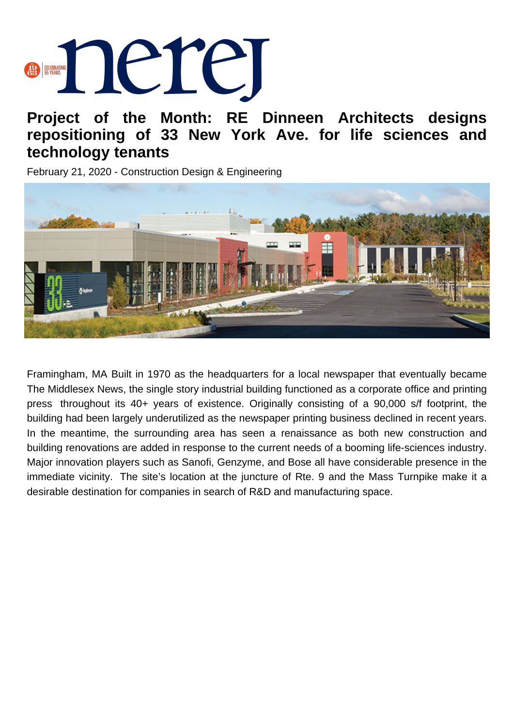## **BERNING DELLE**

## **Project of the Month: RE Dinneen Architects designs repositioning of 33 New York Ave. for life sciences and technology tenants**

February 21, 2020 - Construction Design & Engineering



Framingham, MA Built in 1970 as the headquarters for a local newspaper that eventually became The Middlesex News, the single story industrial building functioned as a corporate office and printing press throughout its 40+ years of existence. Originally consisting of a 90,000 s/f footprint, the building had been largely underutilized as the newspaper printing business declined in recent years. In the meantime, the surrounding area has seen a renaissance as both new construction and building renovations are added in response to the current needs of a booming life-sciences industry. Major innovation players such as Sanofi, Genzyme, and Bose all have considerable presence in the immediate vicinity. The site's location at the juncture of Rte. 9 and the Mass Turnpike make it a desirable destination for companies in search of R&D and manufacturing space.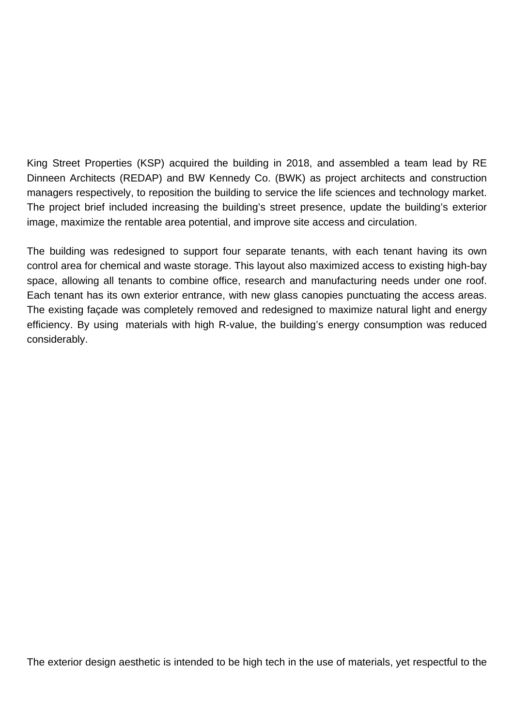King Street Properties (KSP) acquired the building in 2018, and assembled a team lead by RE Dinneen Architects (REDAP) and BW Kennedy Co. (BWK) as project architects and construction managers respectively, to reposition the building to service the life sciences and technology market. The project brief included increasing the building's street presence, update the building's exterior image, maximize the rentable area potential, and improve site access and circulation.

The building was redesigned to support four separate tenants, with each tenant having its own control area for chemical and waste storage. This layout also maximized access to existing high-bay space, allowing all tenants to combine office, research and manufacturing needs under one roof. Each tenant has its own exterior entrance, with new glass canopies punctuating the access areas. The existing façade was completely removed and redesigned to maximize natural light and energy efficiency. By using materials with high R-value, the building's energy consumption was reduced considerably.

The exterior design aesthetic is intended to be high tech in the use of materials, yet respectful to the